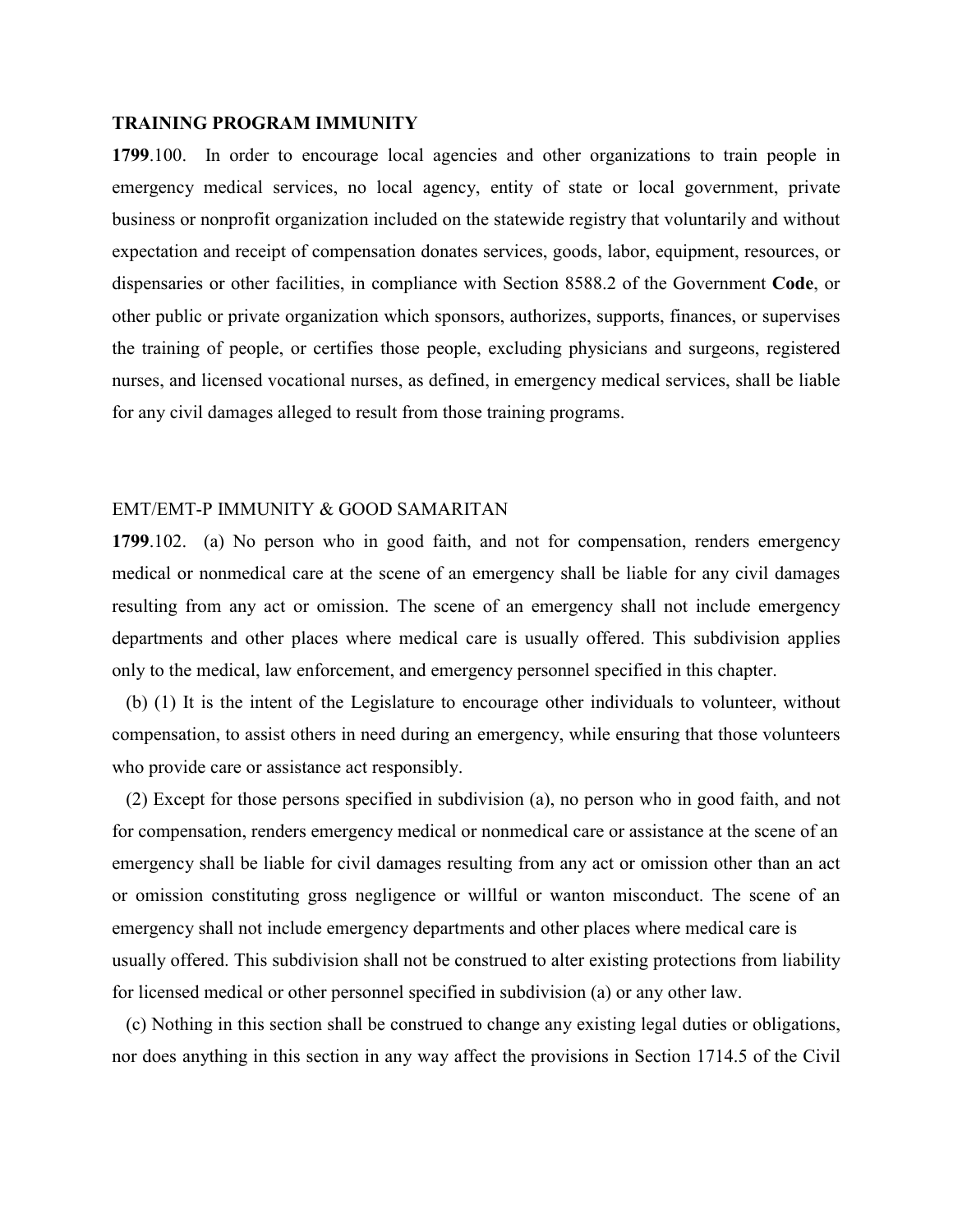# **TRAINING PROGRAM IMMUNITY**

**1799**.100. In order to encourage local agencies and other organizations to train people in emergency medical services, no local agency, entity of state or local government, private business or nonprofit organization included on the statewide registry that voluntarily and without expectation and receipt of compensation donates services, goods, labor, equipment, resources, or dispensaries or other facilities, in compliance with Section 8588.2 of the Government **Code**, or other public or private organization which sponsors, authorizes, supports, finances, or supervises the training of people, or certifies those people, excluding physicians and surgeons, registered nurses, and licensed vocational nurses, as defined, in emergency medical services, shall be liable for any civil damages alleged to result from those training programs.

# EMT/EMT-P IMMUNITY & GOOD SAMARITAN

**1799**.102. (a) No person who in good faith, and not for compensation, renders emergency medical or nonmedical care at the scene of an emergency shall be liable for any civil damages resulting from any act or omission. The scene of an emergency shall not include emergency departments and other places where medical care is usually offered. This subdivision applies only to the medical, law enforcement, and emergency personnel specified in this chapter.

 (b) (1) It is the intent of the Legislature to encourage other individuals to volunteer, without compensation, to assist others in need during an emergency, while ensuring that those volunteers who provide care or assistance act responsibly.

 (2) Except for those persons specified in subdivision (a), no person who in good faith, and not for compensation, renders emergency medical or nonmedical care or assistance at the scene of an emergency shall be liable for civil damages resulting from any act or omission other than an act or omission constituting gross negligence or willful or wanton misconduct. The scene of an emergency shall not include emergency departments and other places where medical care is usually offered. This subdivision shall not be construed to alter existing protections from liability for licensed medical or other personnel specified in subdivision (a) or any other law.

 (c) Nothing in this section shall be construed to change any existing legal duties or obligations, nor does anything in this section in any way affect the provisions in Section 1714.5 of the Civil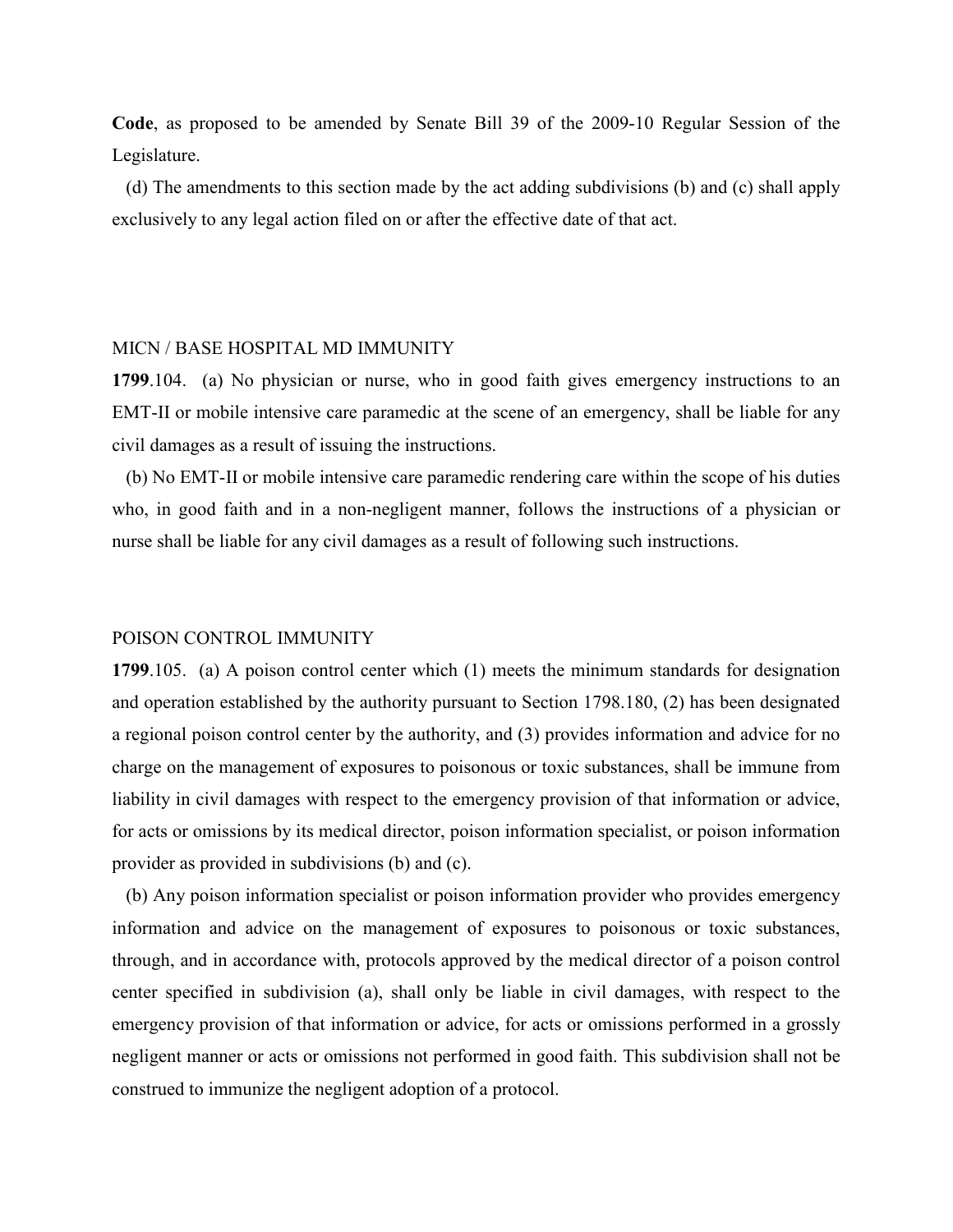**Code**, as proposed to be amended by Senate Bill 39 of the 2009-10 Regular Session of the Legislature.

 (d) The amendments to this section made by the act adding subdivisions (b) and (c) shall apply exclusively to any legal action filed on or after the effective date of that act.

## MICN / BASE HOSPITAL MD IMMUNITY

**1799**.104. (a) No physician or nurse, who in good faith gives emergency instructions to an EMT-II or mobile intensive care paramedic at the scene of an emergency, shall be liable for any civil damages as a result of issuing the instructions.

 (b) No EMT-II or mobile intensive care paramedic rendering care within the scope of his duties who, in good faith and in a non-negligent manner, follows the instructions of a physician or nurse shall be liable for any civil damages as a result of following such instructions.

## POISON CONTROL IMMUNITY

**1799**.105. (a) A poison control center which (1) meets the minimum standards for designation and operation established by the authority pursuant to Section 1798.180, (2) has been designated a regional poison control center by the authority, and (3) provides information and advice for no charge on the management of exposures to poisonous or toxic substances, shall be immune from liability in civil damages with respect to the emergency provision of that information or advice, for acts or omissions by its medical director, poison information specialist, or poison information provider as provided in subdivisions (b) and (c).

 (b) Any poison information specialist or poison information provider who provides emergency information and advice on the management of exposures to poisonous or toxic substances, through, and in accordance with, protocols approved by the medical director of a poison control center specified in subdivision (a), shall only be liable in civil damages, with respect to the emergency provision of that information or advice, for acts or omissions performed in a grossly negligent manner or acts or omissions not performed in good faith. This subdivision shall not be construed to immunize the negligent adoption of a protocol.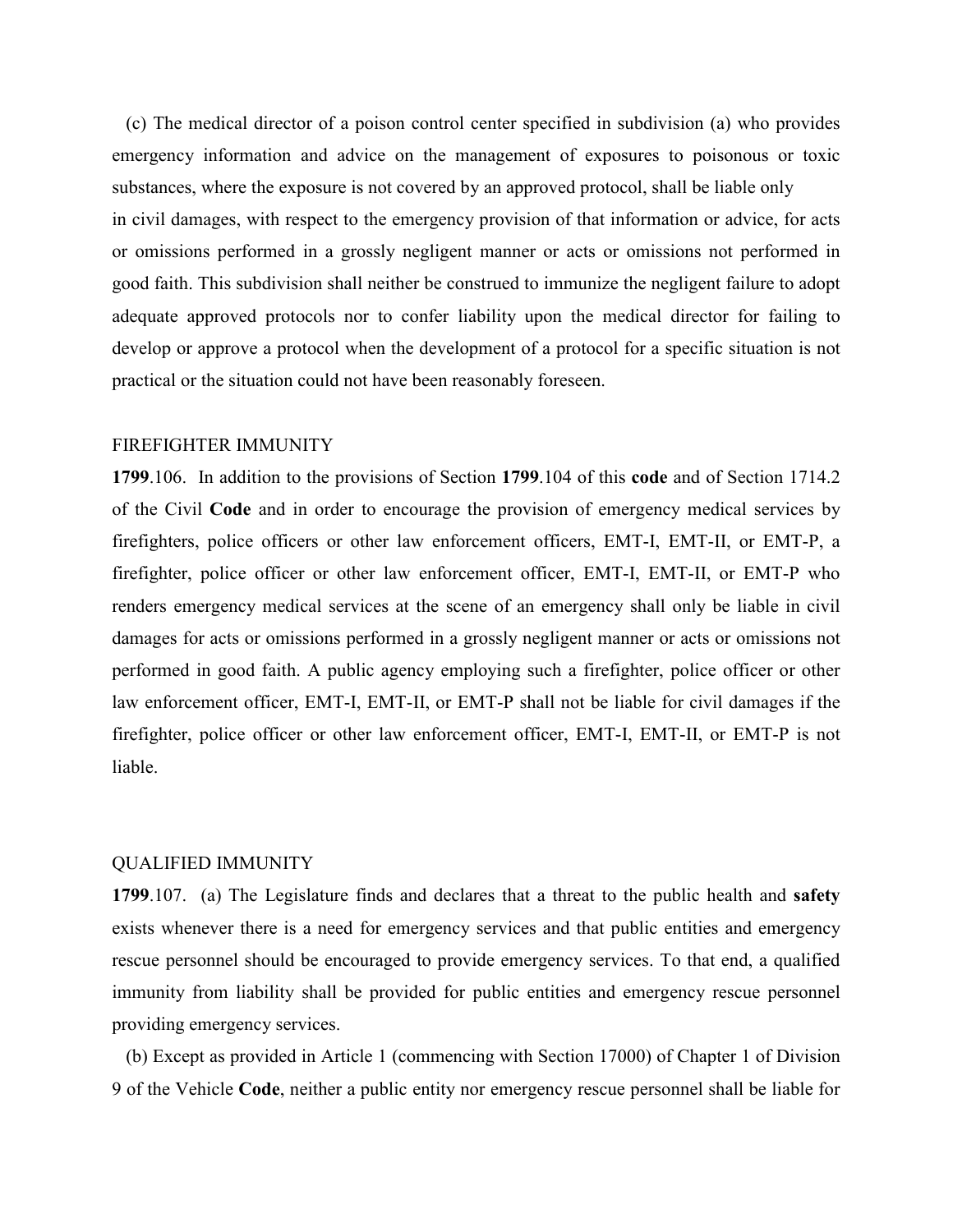(c) The medical director of a poison control center specified in subdivision (a) who provides emergency information and advice on the management of exposures to poisonous or toxic substances, where the exposure is not covered by an approved protocol, shall be liable only in civil damages, with respect to the emergency provision of that information or advice, for acts or omissions performed in a grossly negligent manner or acts or omissions not performed in good faith. This subdivision shall neither be construed to immunize the negligent failure to adopt adequate approved protocols nor to confer liability upon the medical director for failing to develop or approve a protocol when the development of a protocol for a specific situation is not practical or the situation could not have been reasonably foreseen.

## FIREFIGHTER IMMUNITY

**1799**.106. In addition to the provisions of Section **1799**.104 of this **code** and of Section 1714.2 of the Civil **Code** and in order to encourage the provision of emergency medical services by firefighters, police officers or other law enforcement officers, EMT-I, EMT-II, or EMT-P, a firefighter, police officer or other law enforcement officer, EMT-I, EMT-II, or EMT-P who renders emergency medical services at the scene of an emergency shall only be liable in civil damages for acts or omissions performed in a grossly negligent manner or acts or omissions not performed in good faith. A public agency employing such a firefighter, police officer or other law enforcement officer, EMT-I, EMT-II, or EMT-P shall not be liable for civil damages if the firefighter, police officer or other law enforcement officer, EMT-I, EMT-II, or EMT-P is not liable.

### QUALIFIED IMMUNITY

**1799**.107. (a) The Legislature finds and declares that a threat to the public health and **safety** exists whenever there is a need for emergency services and that public entities and emergency rescue personnel should be encouraged to provide emergency services. To that end, a qualified immunity from liability shall be provided for public entities and emergency rescue personnel providing emergency services.

 (b) Except as provided in Article 1 (commencing with Section 17000) of Chapter 1 of Division 9 of the Vehicle **Code**, neither a public entity nor emergency rescue personnel shall be liable for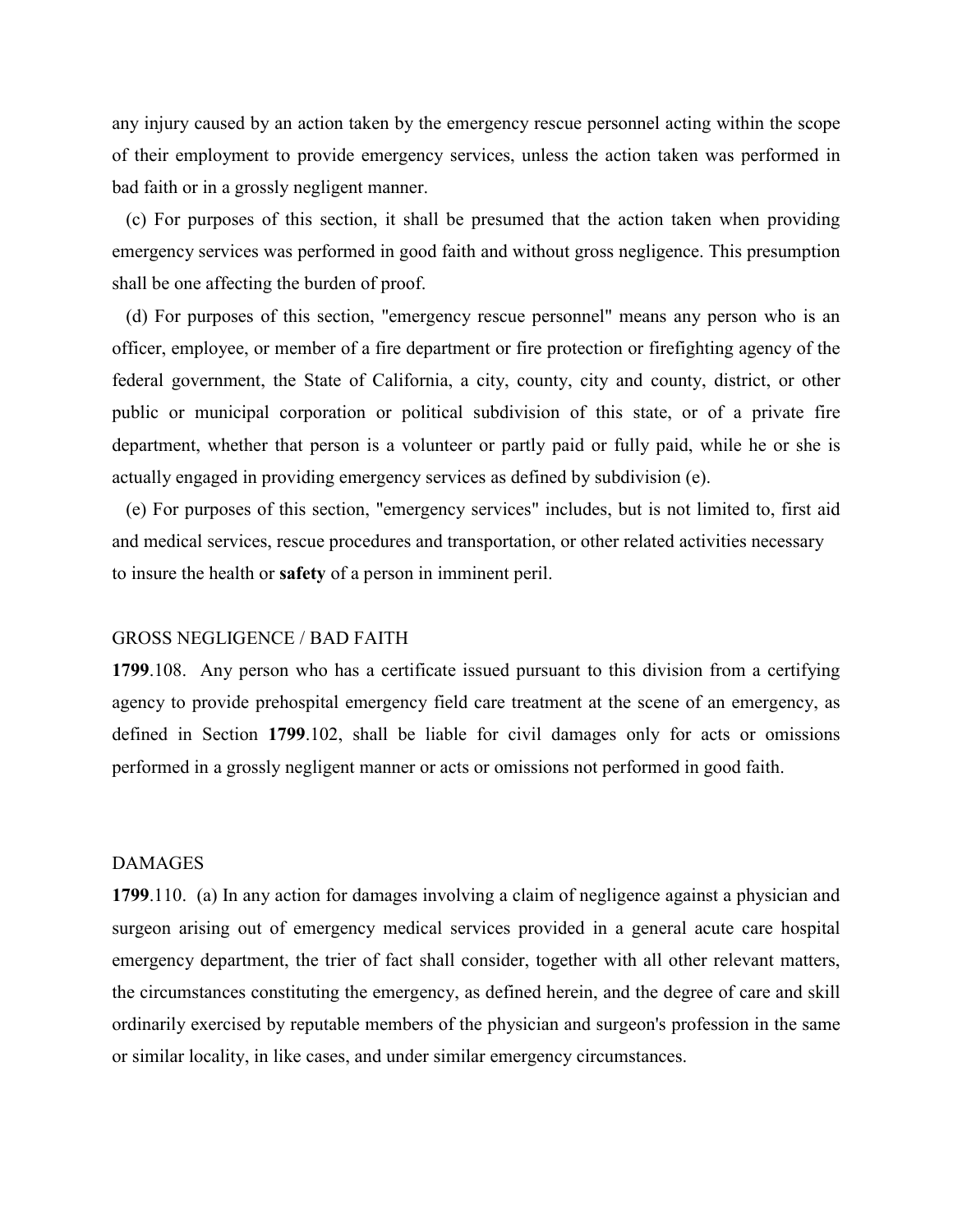any injury caused by an action taken by the emergency rescue personnel acting within the scope of their employment to provide emergency services, unless the action taken was performed in bad faith or in a grossly negligent manner.

 (c) For purposes of this section, it shall be presumed that the action taken when providing emergency services was performed in good faith and without gross negligence. This presumption shall be one affecting the burden of proof.

 (d) For purposes of this section, "emergency rescue personnel" means any person who is an officer, employee, or member of a fire department or fire protection or firefighting agency of the federal government, the State of California, a city, county, city and county, district, or other public or municipal corporation or political subdivision of this state, or of a private fire department, whether that person is a volunteer or partly paid or fully paid, while he or she is actually engaged in providing emergency services as defined by subdivision (e).

 (e) For purposes of this section, "emergency services" includes, but is not limited to, first aid and medical services, rescue procedures and transportation, or other related activities necessary to insure the health or **safety** of a person in imminent peril.

# GROSS NEGLIGENCE / BAD FAITH

**1799**.108. Any person who has a certificate issued pursuant to this division from a certifying agency to provide prehospital emergency field care treatment at the scene of an emergency, as defined in Section **1799**.102, shall be liable for civil damages only for acts or omissions performed in a grossly negligent manner or acts or omissions not performed in good faith.

# **DAMAGES**

**1799**.110. (a) In any action for damages involving a claim of negligence against a physician and surgeon arising out of emergency medical services provided in a general acute care hospital emergency department, the trier of fact shall consider, together with all other relevant matters, the circumstances constituting the emergency, as defined herein, and the degree of care and skill ordinarily exercised by reputable members of the physician and surgeon's profession in the same or similar locality, in like cases, and under similar emergency circumstances.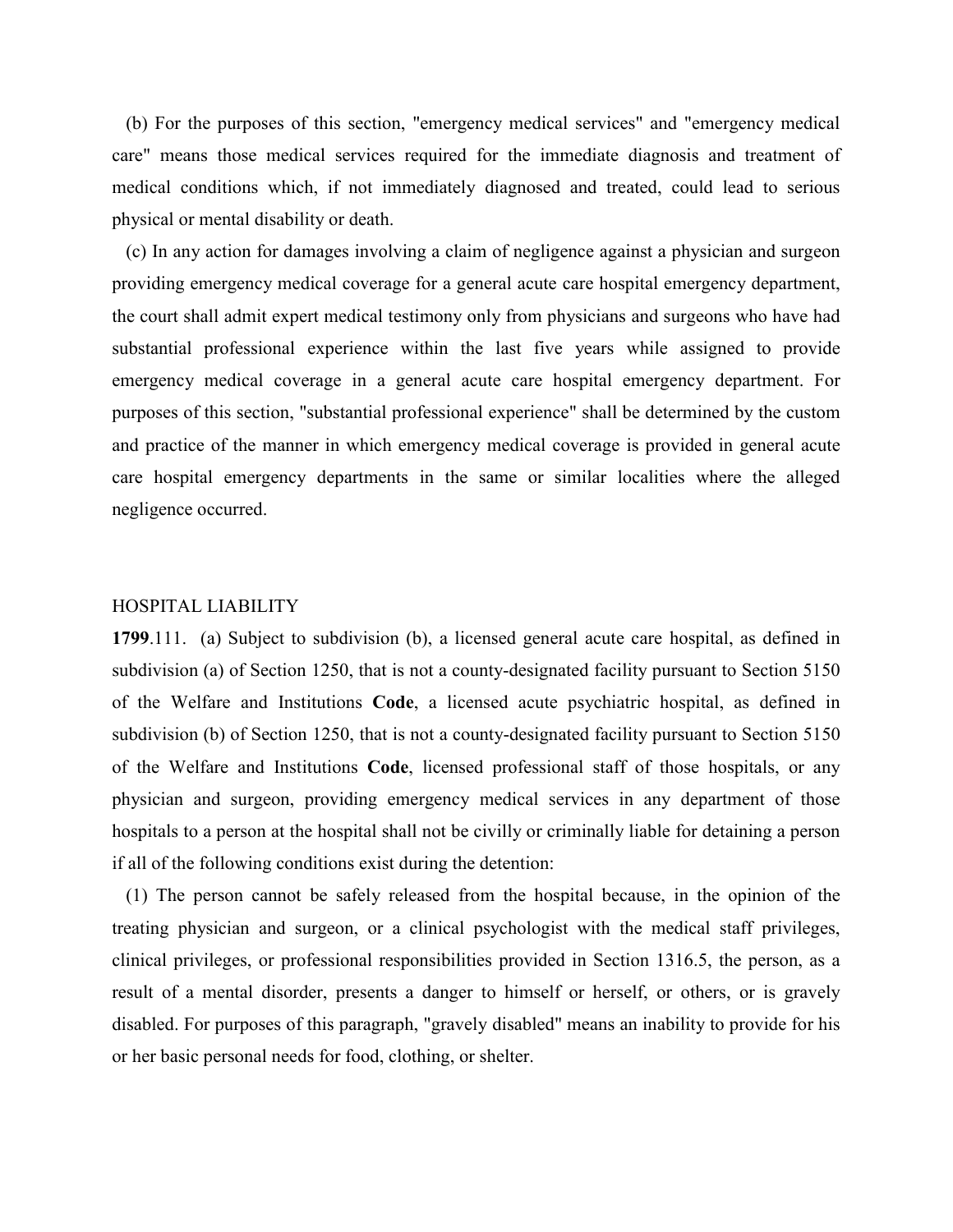(b) For the purposes of this section, "emergency medical services" and "emergency medical care" means those medical services required for the immediate diagnosis and treatment of medical conditions which, if not immediately diagnosed and treated, could lead to serious physical or mental disability or death.

 (c) In any action for damages involving a claim of negligence against a physician and surgeon providing emergency medical coverage for a general acute care hospital emergency department, the court shall admit expert medical testimony only from physicians and surgeons who have had substantial professional experience within the last five years while assigned to provide emergency medical coverage in a general acute care hospital emergency department. For purposes of this section, "substantial professional experience" shall be determined by the custom and practice of the manner in which emergency medical coverage is provided in general acute care hospital emergency departments in the same or similar localities where the alleged negligence occurred.

## HOSPITAL LIABILITY

**1799**.111. (a) Subject to subdivision (b), a licensed general acute care hospital, as defined in subdivision (a) of Section 1250, that is not a county-designated facility pursuant to Section 5150 of the Welfare and Institutions **Code**, a licensed acute psychiatric hospital, as defined in subdivision (b) of Section 1250, that is not a county-designated facility pursuant to Section 5150 of the Welfare and Institutions **Code**, licensed professional staff of those hospitals, or any physician and surgeon, providing emergency medical services in any department of those hospitals to a person at the hospital shall not be civilly or criminally liable for detaining a person if all of the following conditions exist during the detention:

 (1) The person cannot be safely released from the hospital because, in the opinion of the treating physician and surgeon, or a clinical psychologist with the medical staff privileges, clinical privileges, or professional responsibilities provided in Section 1316.5, the person, as a result of a mental disorder, presents a danger to himself or herself, or others, or is gravely disabled. For purposes of this paragraph, "gravely disabled" means an inability to provide for his or her basic personal needs for food, clothing, or shelter.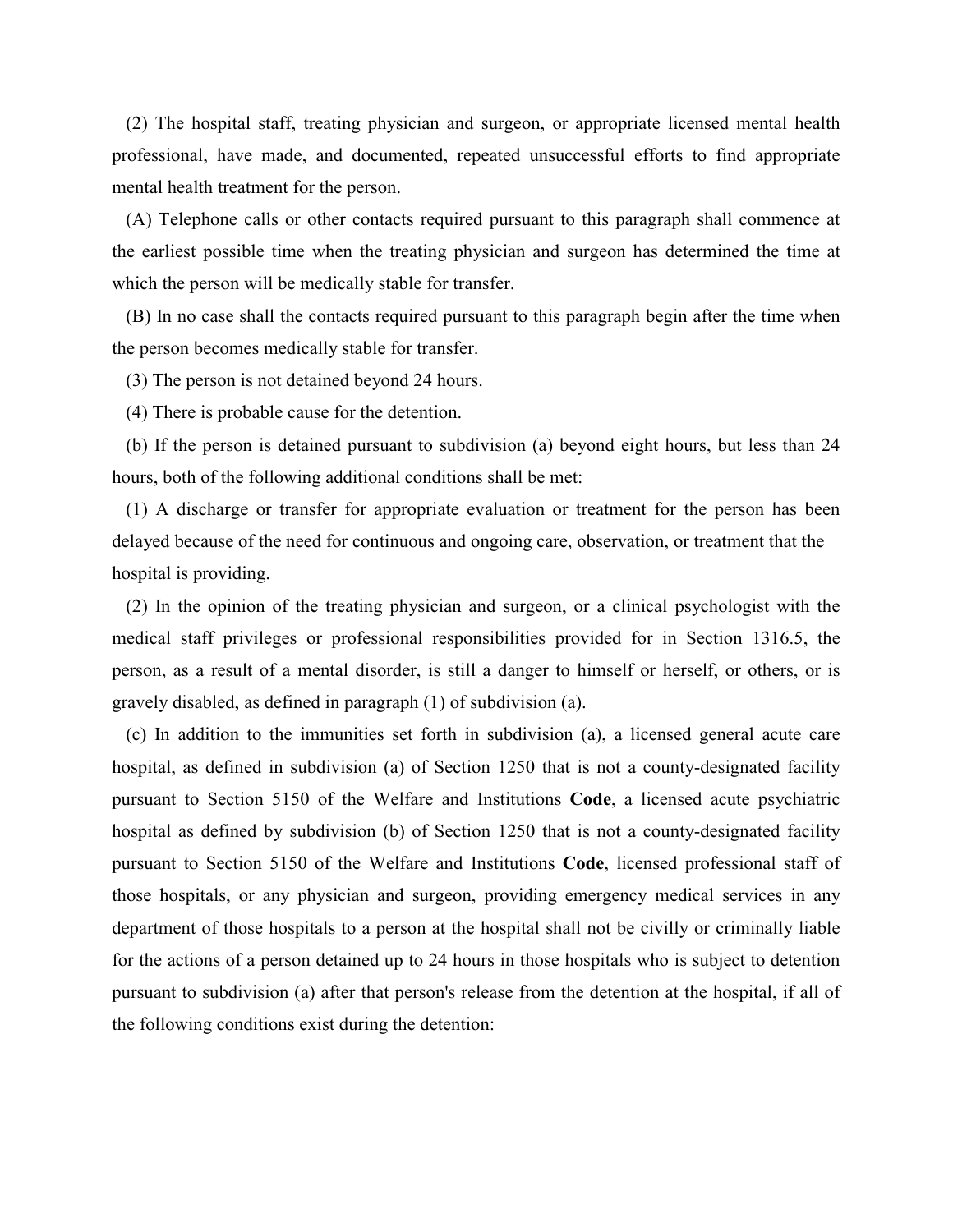(2) The hospital staff, treating physician and surgeon, or appropriate licensed mental health professional, have made, and documented, repeated unsuccessful efforts to find appropriate mental health treatment for the person.

 (A) Telephone calls or other contacts required pursuant to this paragraph shall commence at the earliest possible time when the treating physician and surgeon has determined the time at which the person will be medically stable for transfer.

 (B) In no case shall the contacts required pursuant to this paragraph begin after the time when the person becomes medically stable for transfer.

(3) The person is not detained beyond 24 hours.

(4) There is probable cause for the detention.

 (b) If the person is detained pursuant to subdivision (a) beyond eight hours, but less than 24 hours, both of the following additional conditions shall be met:

 (1) A discharge or transfer for appropriate evaluation or treatment for the person has been delayed because of the need for continuous and ongoing care, observation, or treatment that the hospital is providing.

 (2) In the opinion of the treating physician and surgeon, or a clinical psychologist with the medical staff privileges or professional responsibilities provided for in Section 1316.5, the person, as a result of a mental disorder, is still a danger to himself or herself, or others, or is gravely disabled, as defined in paragraph (1) of subdivision (a).

 (c) In addition to the immunities set forth in subdivision (a), a licensed general acute care hospital, as defined in subdivision (a) of Section 1250 that is not a county-designated facility pursuant to Section 5150 of the Welfare and Institutions **Code**, a licensed acute psychiatric hospital as defined by subdivision (b) of Section 1250 that is not a county-designated facility pursuant to Section 5150 of the Welfare and Institutions **Code**, licensed professional staff of those hospitals, or any physician and surgeon, providing emergency medical services in any department of those hospitals to a person at the hospital shall not be civilly or criminally liable for the actions of a person detained up to 24 hours in those hospitals who is subject to detention pursuant to subdivision (a) after that person's release from the detention at the hospital, if all of the following conditions exist during the detention: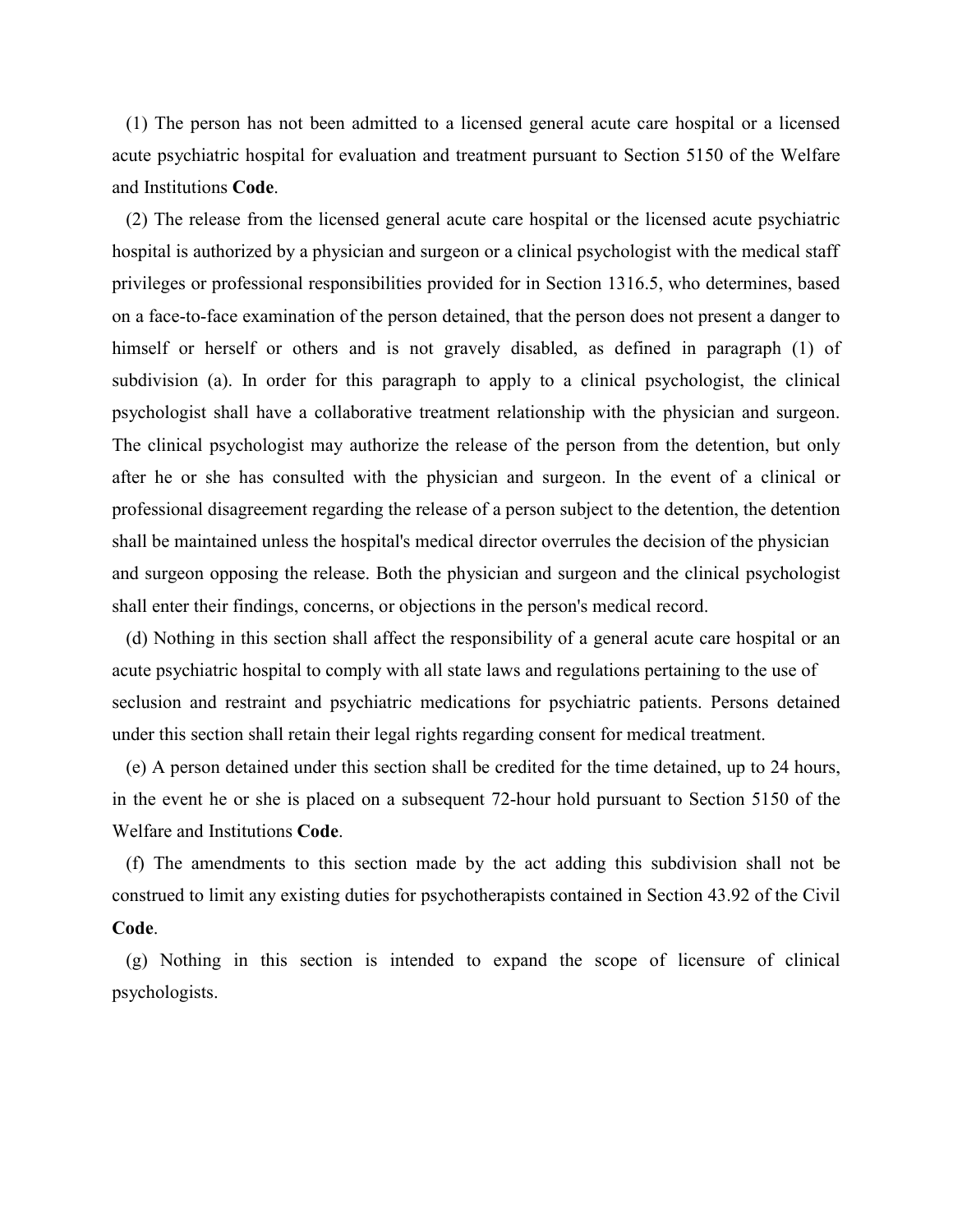(1) The person has not been admitted to a licensed general acute care hospital or a licensed acute psychiatric hospital for evaluation and treatment pursuant to Section 5150 of the Welfare and Institutions **Code**.

 (2) The release from the licensed general acute care hospital or the licensed acute psychiatric hospital is authorized by a physician and surgeon or a clinical psychologist with the medical staff privileges or professional responsibilities provided for in Section 1316.5, who determines, based on a face-to-face examination of the person detained, that the person does not present a danger to himself or herself or others and is not gravely disabled, as defined in paragraph (1) of subdivision (a). In order for this paragraph to apply to a clinical psychologist, the clinical psychologist shall have a collaborative treatment relationship with the physician and surgeon. The clinical psychologist may authorize the release of the person from the detention, but only after he or she has consulted with the physician and surgeon. In the event of a clinical or professional disagreement regarding the release of a person subject to the detention, the detention shall be maintained unless the hospital's medical director overrules the decision of the physician and surgeon opposing the release. Both the physician and surgeon and the clinical psychologist shall enter their findings, concerns, or objections in the person's medical record.

 (d) Nothing in this section shall affect the responsibility of a general acute care hospital or an acute psychiatric hospital to comply with all state laws and regulations pertaining to the use of seclusion and restraint and psychiatric medications for psychiatric patients. Persons detained under this section shall retain their legal rights regarding consent for medical treatment.

 (e) A person detained under this section shall be credited for the time detained, up to 24 hours, in the event he or she is placed on a subsequent 72-hour hold pursuant to Section 5150 of the Welfare and Institutions **Code**.

 (f) The amendments to this section made by the act adding this subdivision shall not be construed to limit any existing duties for psychotherapists contained in Section 43.92 of the Civil **Code**.

 (g) Nothing in this section is intended to expand the scope of licensure of clinical psychologists.